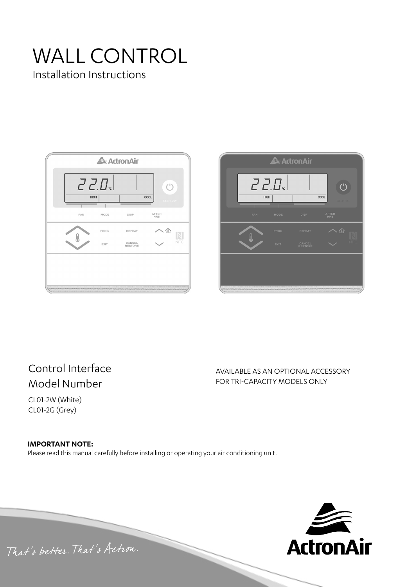# WALL CONTROL Installation Instructions





# Control Interface Model Number

CL01-2W (White) CL01-2G (Grey)

AVAILABLE AS AN OPTIONAL ACCESSORY FOR TRI-CAPACITY MODELS ONLY

**IMPORTANT NOTE:** Please read this manual carefully before installing or operating your air conditioning unit.



That's better. That's Actron.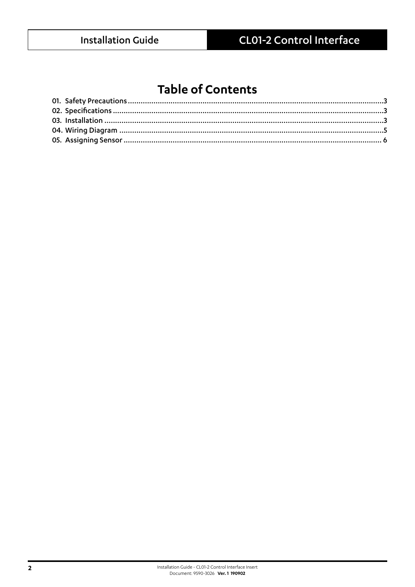# **Table of Contents**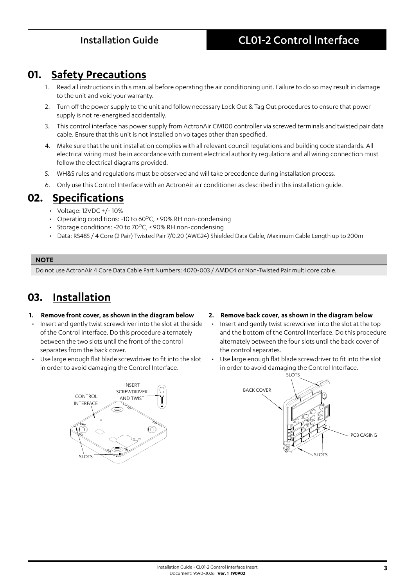## **01. Safety Precautions**

- Read all instructions in this manual before operating the air conditioning unit. Failure to do so may result in damage to the unit and void your warranty.
- 2. Turn off the power supply to the unit and follow necessary Lock Out & Tag Out procedures to ensure that power supply is not re-energised accidentally.
- 3. This control interface has power supply from ActronAir CM100 controller via screwed terminals and twisted pair data cable. Ensure that this unit is not installed on voltages other than specified.
- 4. Make sure that the unit installation complies with all relevant council regulations and building code standards. All electrical wiring must be in accordance with current electrical authority regulations and all wiring connection must follow the electrical diagrams provided.
- 5. WH&S rules and regulations must be observed and will take precedence during installation process.
- 6. Only use this Control Interface with an ActronAir air conditioner as described in this installation guide.

## **02. Specifications**

- Voltage: 12VDC +/- 10%
- Operating conditions: -10 to  $60^{\circ}$ C, <90% RH non-condensing
- Storage conditions: -20 to 70 $\mathrm{^{\circ}C}$ , < 90% RH non-condensing
- Data: RS485 / 4 Core (2 Pair) Twisted Pair 7/0.20 (AWG24) Shielded Data Cable, Maximum Cable Length up to 200m

### **NOTE**

Do not use ActronAir 4 Core Data Cable Part Numbers: 4070-003 / AMDC4 or Non-Twisted Pair multi core cable.

# **03. Installation**

### **1. Remove front cover, as shown in the diagram below**

- Insert and gently twist screwdriver into the slot at the side of the Control Interface. Do this procedure alternately between the two slots until the front of the control separates from the back cover.
- Use large enough flat blade screwdriver to fit into the slot in order to avoid damaging the Control Interface.



### **2. Remove back cover, as shown in the diagram below**

- Insert and gently twist screwdriver into the slot at the top and the bottom of the Control Interface. Do this procedure alternately between the four slots until the back cover of the control separates.
- Use large enough flat blade screwdriver to fit into the slot in order to avoid damaging the Control Interface.

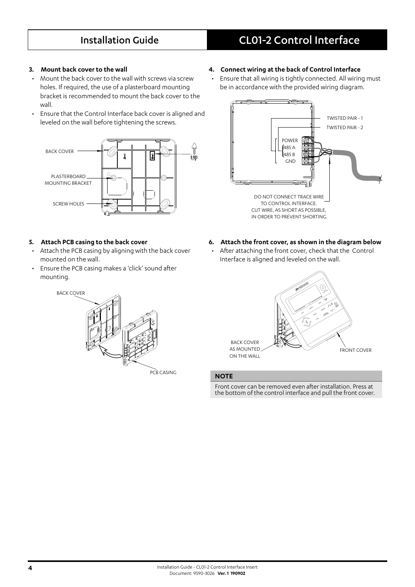# Installation Guide CL01-2 Control Interface

### **3. Mount back cover to the wall**

- Mount the back cover to the wall with screws via screw holes. If required, the use of a plasterboard mounting bracket is recommended to mount the back cover to the wall.
- Ensure that the Control Interface back cover is aligned and leveled on the wall before tightening the screws.



### **5. Attach PCB casing to the back cover**

- Attach the PCB casing by aligning with the back cover mounted on the wall.
- Ensure the PCB casing makes a 'click' sound after mounting.



PCB CASING

- **4. Connect wiring at the back of Control Interface**
- Ensure that all wiring is tightly connected. All wiring must be in accordance with the provided wiring diagram.



- **6. Attach the front cover, as shown in the diagram below**
- After attaching the front cover, check that the Control Interface is aligned and leveled on the wall.



### **NOTE**

Front cover can be removed even after installation. Press at the bottom of the control interface and pull the front cover.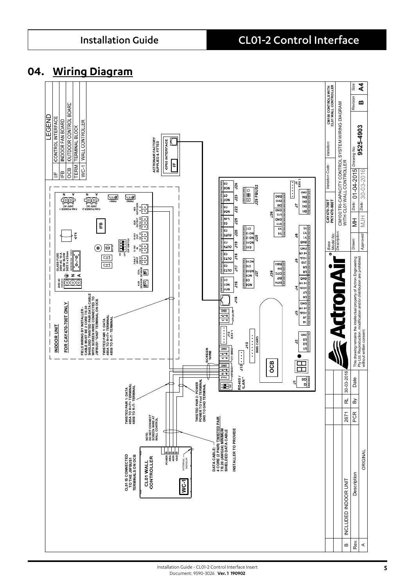## **04. Wiring Diagram**

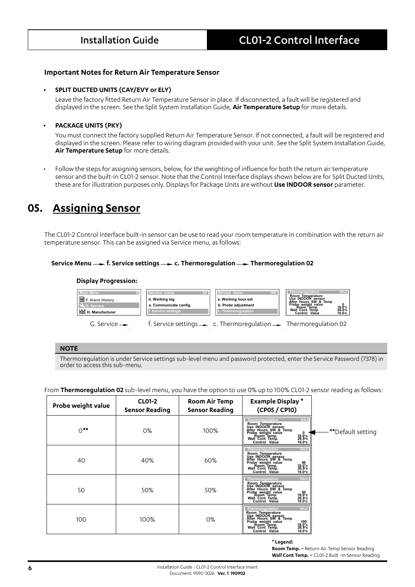### **Important Notes for Return Air Temperature Sensor**

### **• SPLIT DUCTED UNITS (CAY/EVY or ELY)**

Leave the factory fitted Return Air Temperature Sensor in place. If disconnected, a fault will be registered and displayed in the screen. See the Split System Installation Guide, **Air Temperature Setup** for more details.

### **• PACKAGE UNITS (PKY)**

You must connect the factory supplied Return Air Temperature Sensor. If not connected, a fault will be registered and displayed in the screen. Please refer to wiring diagram provided with your unit. See the Split System Installation Guide, **Air Temperature Setup** for more details.

• Follow the steps for assigning sensors, below, for the weighting of influence for both the return air temperature sensor and the built-in CL01-2 sensor. Note that the Control Interface displays shown below are for Split Ducted Units, these are for illustration purposes only. Displays for Package Units are without **Use INDOOR sensor** parameter.

# **05. Assigning Sensor**

The CL01-2 Control Interface built-in sensor can be use to read your room temperature in combination with the return air temperature sensor. This can be assigned via Service menu, as follows:

### **Service Menu — f. Service settings — c. Thermoregulation — Thermoregulation 02**

### **Display Progression:**



### **NOTE**

Thermoregulation is under Service settings sub-level menu and password protected, enter the Service Password (7378) in order to access this sub-menu.

From **Thermoregulation 02** sub-level menu, you have the option to use 0% up to 100% CL01-2 sensor reading as follows:

| Probe weight value | <b>CL01-2</b><br><b>Sensor Reading</b> | <b>Room Air Temp</b><br><b>Sensor Reading</b> | <b>Example Display*</b><br>(CP05 / CP10)                                                                                                                                                                                                                                    |                   |
|--------------------|----------------------------------------|-----------------------------------------------|-----------------------------------------------------------------------------------------------------------------------------------------------------------------------------------------------------------------------------------------------------------------------------|-------------------|
| $0***$             | $0\%$                                  | 100%                                          | Gfc2<br>Thermoregulation<br>Room Temperature<br>Use INDOOR sensor<br>After Hours SW & Temp<br>Probe weight value<br>Room Temp.<br>Wall Cont Temp.<br>$^{18.0\degree}_{26.8\degree}$ c<br>$^{18.0\degree}$ c<br>Control Value                                                | **Default setting |
| 40                 | 40%                                    | 60%                                           | Gfc2<br>Thermoregulation<br>Room Temperature<br>Use INDOOR sensor<br>Arter Hours SW & Temp<br>Probe weight value<br>Room Temp.<br>$\begin{array}{c} 40 \\ 18.0^{\circ} \text{c} \\ 26.8^{\circ} \text{c} \end{array}$<br>Wall Cont Temp.<br>$18.0^\circ$ c<br>Control Value |                   |
| 50                 | 50%                                    | 50%                                           | Gfc2<br>Thermoregulation<br>Room Temperature<br>Use INDOOR sensor<br>After Hours SW & Temp<br>Probe weight value<br>Wall Cont Temp.<br>50<br>$^{18.0^{\circ}c}_{26.8^{\circ}c}$<br>$18.0^\circ$ c<br>Control Value                                                          |                   |
| 100                | 100%                                   | 0%                                            | Gfc2<br>Thermoregulation<br>Room Temperature<br>Use INDOOR sensor<br>After Hours SW & Temp<br>Probe weight value<br>Wall Cont Temp.<br>Wall Cont Temp.<br>100<br>$\frac{18.0}{26.8}$ c<br>$18.0^\circ$ c<br>Control Value                                                   |                   |

**\* Legend:**

**Room Temp.** = Return Air Temp Sensor Reading **Wall Cont Temp.** = CL01-2 Built -In Sensor Reading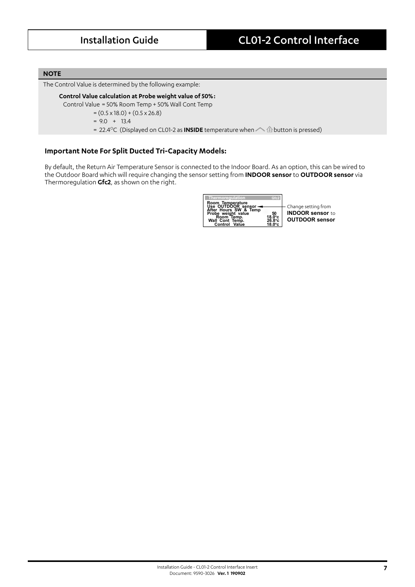### **NOTE**

The Control Value is determined by the following example:

### **Control Value calculation at Probe weight value of 50% :**

Control Value = 50% Room Temp + 50% Wall Cont Temp

- $=(0.5 \times 18.0) + (0.5 \times 26.8)$
- $= 9.0 + 13.4$
- = 22.4<sup>o</sup>C (Displayed on CL01-2 as **INSIDE** temperature when  $\Diamond$  **button is pressed)**

### **Important Note For Split Ducted Tri-Capacity Models:**

By default, the Return Air Temperature Sensor is connected to the Indoor Board. As an option, this can be wired to the Outdoor Board which will require changing the sensor setting from **INDOOR sensor** to **OUTDOOR sensor** via Thermoregulation **Gfc2**, as shown on the right.

| Thermoregulation                                                                                                                  | Gfc2                                     |                                                                         |
|-----------------------------------------------------------------------------------------------------------------------------------|------------------------------------------|-------------------------------------------------------------------------|
| Room Temperature<br>Use OUTDOOR sensor<br>After Hours SW & Temp<br>Probe weight value<br>Room Temp.<br>Wall Cont Temp.<br>Control | 50<br>18.0°C<br>26.8°C<br>$18.0^\circ c$ | Change setting from<br><b>INDOOR sensor to</b><br><b>OUTDOOR sensor</b> |